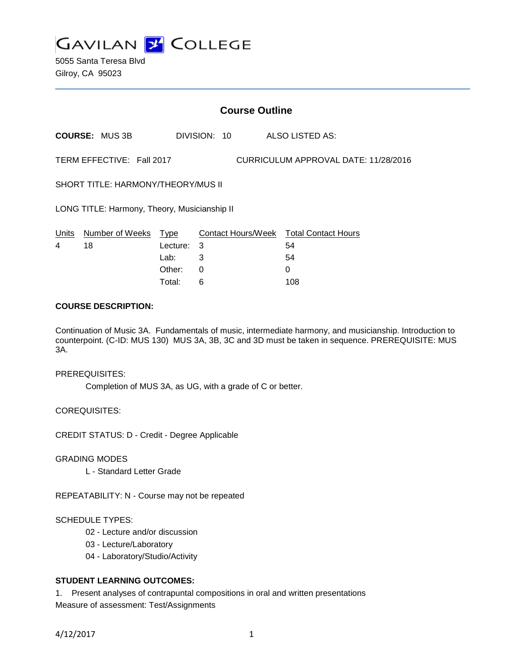

5055 Santa Teresa Blvd Gilroy, CA 95023

| <b>Course Outline</b>                                             |                       |          |              |                                        |
|-------------------------------------------------------------------|-----------------------|----------|--------------|----------------------------------------|
|                                                                   | <b>COURSE: MUS 3B</b> |          | DIVISION: 10 | ALSO LISTED AS:                        |
| TERM EFFECTIVE: Fall 2017<br>CURRICULUM APPROVAL DATE: 11/28/2016 |                       |          |              |                                        |
| SHORT TITLE: HARMONY/THEORY/MUS II                                |                       |          |              |                                        |
| LONG TITLE: Harmony, Theory, Musicianship II                      |                       |          |              |                                        |
| Units                                                             | Number of Weeks       | Type     |              | Contact Hours/Week Total Contact Hours |
| 4                                                                 | 18                    | Lecture: | 3            | 54                                     |
|                                                                   |                       | Lab:     | 3            | 54                                     |
|                                                                   |                       | Other:   | 0            | 0                                      |
|                                                                   |                       | Total:   | 6            | 108                                    |

# **COURSE DESCRIPTION:**

Continuation of Music 3A. Fundamentals of music, intermediate harmony, and musicianship. Introduction to counterpoint. (C-ID: MUS 130) MUS 3A, 3B, 3C and 3D must be taken in sequence. PREREQUISITE: MUS 3A.

### PREREQUISITES:

Completion of MUS 3A, as UG, with a grade of C or better.

COREQUISITES:

CREDIT STATUS: D - Credit - Degree Applicable

GRADING MODES

L - Standard Letter Grade

REPEATABILITY: N - Course may not be repeated

### SCHEDULE TYPES:

- 02 Lecture and/or discussion
- 03 Lecture/Laboratory
- 04 Laboratory/Studio/Activity

# **STUDENT LEARNING OUTCOMES:**

1. Present analyses of contrapuntal compositions in oral and written presentations Measure of assessment: Test/Assignments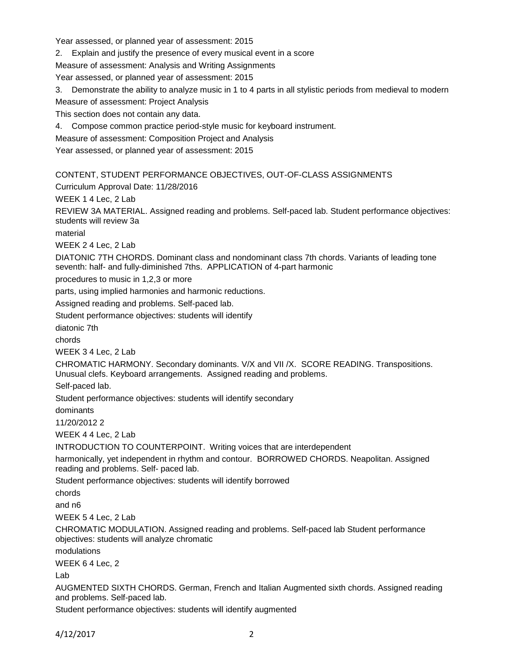Year assessed, or planned year of assessment: 2015

2. Explain and justify the presence of every musical event in a score

Measure of assessment: Analysis and Writing Assignments

Year assessed, or planned year of assessment: 2015

3. Demonstrate the ability to analyze music in 1 to 4 parts in all stylistic periods from medieval to modern Measure of assessment: Project Analysis

This section does not contain any data.

4. Compose common practice period-style music for keyboard instrument.

Measure of assessment: Composition Project and Analysis

Year assessed, or planned year of assessment: 2015

# CONTENT, STUDENT PERFORMANCE OBJECTIVES, OUT-OF-CLASS ASSIGNMENTS

Curriculum Approval Date: 11/28/2016

WEEK 1 4 Lec, 2 Lab

REVIEW 3A MATERIAL. Assigned reading and problems. Self-paced lab. Student performance objectives: students will review 3a

material

WEEK 2 4 Lec, 2 Lab

DIATONIC 7TH CHORDS. Dominant class and nondominant class 7th chords. Variants of leading tone seventh: half- and fully-diminished 7ths. APPLICATION of 4-part harmonic

procedures to music in 1,2,3 or more

parts, using implied harmonies and harmonic reductions.

Assigned reading and problems. Self-paced lab.

Student performance objectives: students will identify

diatonic 7th

chords

WEEK 3 4 Lec, 2 Lab

CHROMATIC HARMONY. Secondary dominants. V/X and VII /X. SCORE READING. Transpositions. Unusual clefs. Keyboard arrangements. Assigned reading and problems.

Self-paced lab.

Student performance objectives: students will identify secondary

dominants

11/20/2012 2

WEEK 4 4 Lec, 2 Lab

INTRODUCTION TO COUNTERPOINT. Writing voices that are interdependent

harmonically, yet independent in rhythm and contour. BORROWED CHORDS. Neapolitan. Assigned reading and problems. Self- paced lab.

Student performance objectives: students will identify borrowed

chords

and n6

WEEK 5 4 Lec, 2 Lab

CHROMATIC MODULATION. Assigned reading and problems. Self-paced lab Student performance objectives: students will analyze chromatic

modulations

WEEK 6 4 Lec, 2

Lab

AUGMENTED SIXTH CHORDS. German, French and Italian Augmented sixth chords. Assigned reading and problems. Self-paced lab.

Student performance objectives: students will identify augmented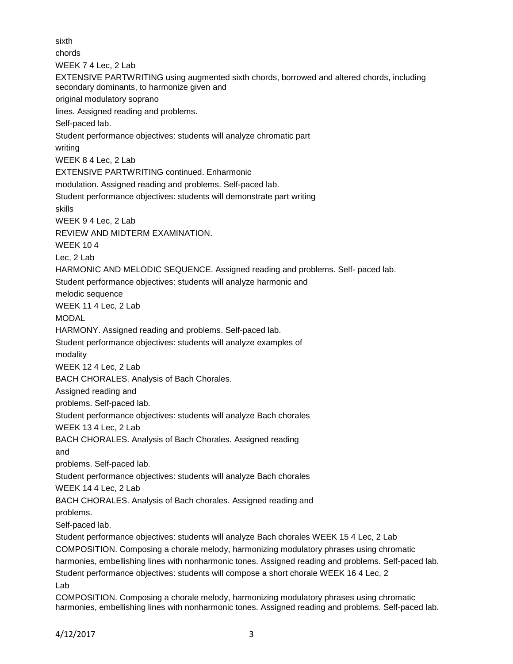sixth chords WEEK 7 4 Lec, 2 Lab EXTENSIVE PARTWRITING using augmented sixth chords, borrowed and altered chords, including secondary dominants, to harmonize given and original modulatory soprano lines. Assigned reading and problems. Self-paced lab. Student performance objectives: students will analyze chromatic part writing WEEK 8 4 Lec, 2 Lab EXTENSIVE PARTWRITING continued. Enharmonic modulation. Assigned reading and problems. Self-paced lab. Student performance objectives: students will demonstrate part writing skills WEEK 9 4 Lec, 2 Lab REVIEW AND MIDTERM EXAMINATION. WEEK 10 4 Lec, 2 Lab HARMONIC AND MELODIC SEQUENCE. Assigned reading and problems. Self- paced lab. Student performance objectives: students will analyze harmonic and melodic sequence WEEK 11 4 Lec, 2 Lab MODAL HARMONY. Assigned reading and problems. Self-paced lab. Student performance objectives: students will analyze examples of modality WEEK 12 4 Lec, 2 Lab BACH CHORALES. Analysis of Bach Chorales. Assigned reading and problems. Self-paced lab. Student performance objectives: students will analyze Bach chorales WEEK 13 4 Lec, 2 Lab BACH CHORALES. Analysis of Bach Chorales. Assigned reading and problems. Self-paced lab. Student performance objectives: students will analyze Bach chorales WEEK 14 4 Lec, 2 Lab BACH CHORALES. Analysis of Bach chorales. Assigned reading and problems. Self-paced lab. Student performance objectives: students will analyze Bach chorales WEEK 15 4 Lec, 2 Lab COMPOSITION. Composing a chorale melody, harmonizing modulatory phrases using chromatic harmonies, embellishing lines with nonharmonic tones. Assigned reading and problems. Self-paced lab. Student performance objectives: students will compose a short chorale WEEK 16 4 Lec, 2 Lab COMPOSITION. Composing a chorale melody, harmonizing modulatory phrases using chromatic

harmonies, embellishing lines with nonharmonic tones. Assigned reading and problems. Self-paced lab.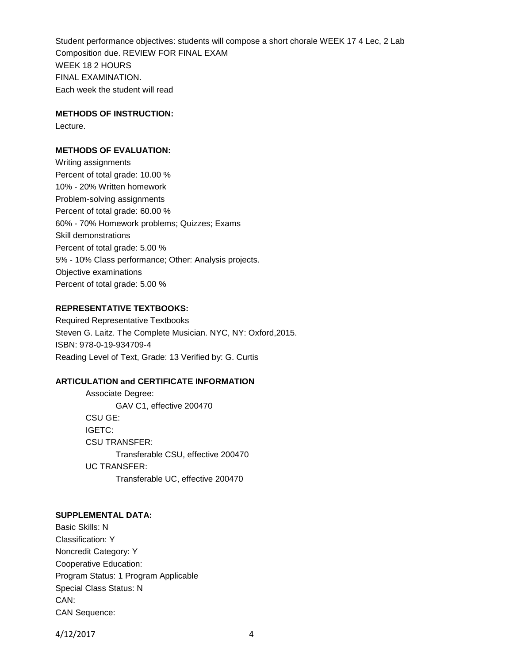Student performance objectives: students will compose a short chorale WEEK 17 4 Lec, 2 Lab Composition due. REVIEW FOR FINAL EXAM WEEK 18 2 HOURS FINAL EXAMINATION. Each week the student will read

### **METHODS OF INSTRUCTION:**

Lecture.

# **METHODS OF EVALUATION:**

Writing assignments Percent of total grade: 10.00 % 10% - 20% Written homework Problem-solving assignments Percent of total grade: 60.00 % 60% - 70% Homework problems; Quizzes; Exams Skill demonstrations Percent of total grade: 5.00 % 5% - 10% Class performance; Other: Analysis projects. Objective examinations Percent of total grade: 5.00 %

## **REPRESENTATIVE TEXTBOOKS:**

Required Representative Textbooks Steven G. Laitz. The Complete Musician. NYC, NY: Oxford,2015. ISBN: 978-0-19-934709-4 Reading Level of Text, Grade: 13 Verified by: G. Curtis

### **ARTICULATION and CERTIFICATE INFORMATION**

Associate Degree: GAV C1, effective 200470 CSU GE: IGETC: CSU TRANSFER: Transferable CSU, effective 200470 UC TRANSFER: Transferable UC, effective 200470

## **SUPPLEMENTAL DATA:**

Basic Skills: N Classification: Y Noncredit Category: Y Cooperative Education: Program Status: 1 Program Applicable Special Class Status: N CAN: CAN Sequence:

4/12/2017 4